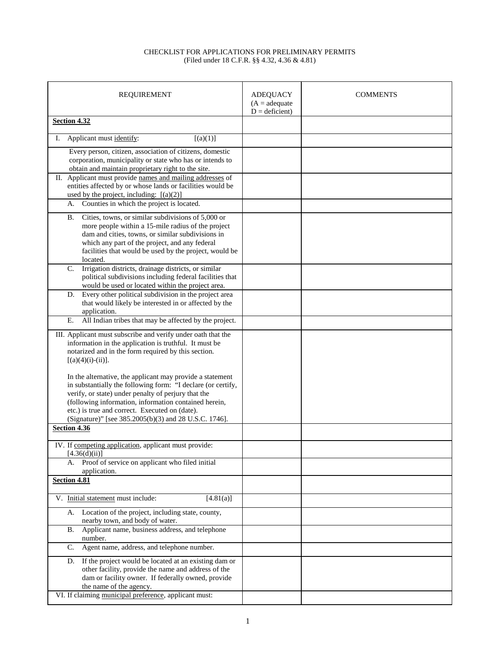## CHECKLIST FOR APPLICATIONS FOR PRELIMINARY PERMITS (Filed under 18 C.F.R. §§ 4.32, 4.36 & 4.81)

| <b>REQUIREMENT</b>                                                                                                                                                                                                                                                                                                                                   | <b>ADEQUACY</b><br>$(A = adequate)$<br>$D =$ deficient) | <b>COMMENTS</b> |
|------------------------------------------------------------------------------------------------------------------------------------------------------------------------------------------------------------------------------------------------------------------------------------------------------------------------------------------------------|---------------------------------------------------------|-----------------|
| Section 4.32                                                                                                                                                                                                                                                                                                                                         |                                                         |                 |
| Applicant must identify:<br>$[(a)(1)]$<br>I.                                                                                                                                                                                                                                                                                                         |                                                         |                 |
| Every person, citizen, association of citizens, domestic<br>corporation, municipality or state who has or intends to<br>obtain and maintain proprietary right to the site.                                                                                                                                                                           |                                                         |                 |
| II. Applicant must provide names and mailing addresses of<br>entities affected by or whose lands or facilities would be<br>used by the project, including: $[(a)(2)]$                                                                                                                                                                                |                                                         |                 |
| Counties in which the project is located.<br>А.                                                                                                                                                                                                                                                                                                      |                                                         |                 |
| Cities, towns, or similar subdivisions of 5,000 or<br>В.<br>more people within a 15-mile radius of the project<br>dam and cities, towns, or similar subdivisions in<br>which any part of the project, and any federal<br>facilities that would be used by the project, would be<br>located.                                                          |                                                         |                 |
| Irrigation districts, drainage districts, or similar<br>C.<br>political subdivisions including federal facilities that<br>would be used or located within the project area.                                                                                                                                                                          |                                                         |                 |
| Every other political subdivision in the project area<br>D.<br>that would likely be interested in or affected by the<br>application.                                                                                                                                                                                                                 |                                                         |                 |
| All Indian tribes that may be affected by the project.<br>Ε.                                                                                                                                                                                                                                                                                         |                                                         |                 |
| III. Applicant must subscribe and verify under oath that the<br>information in the application is truthful. It must be<br>notarized and in the form required by this section.<br>$[(a)(4)(i)-(ii)].$                                                                                                                                                 |                                                         |                 |
| In the alternative, the applicant may provide a statement<br>in substantially the following form: "I declare (or certify,<br>verify, or state) under penalty of perjury that the<br>(following information, information contained herein,<br>etc.) is true and correct. Executed on (date).<br>(Signature)" [see 385.2005(b)(3) and 28 U.S.C. 1746]. |                                                         |                 |
| Section 4.36                                                                                                                                                                                                                                                                                                                                         |                                                         |                 |
| IV. If competing application, applicant must provide:<br>[4.36(d)(ii)]                                                                                                                                                                                                                                                                               |                                                         |                 |
| Proof of service on applicant who filed initial<br>А.<br>application.                                                                                                                                                                                                                                                                                |                                                         |                 |
| Section 4.81                                                                                                                                                                                                                                                                                                                                         |                                                         |                 |
| V. Initial statement must include:<br>[4.81(a)]                                                                                                                                                                                                                                                                                                      |                                                         |                 |
| Location of the project, including state, county,<br>А.<br>nearby town, and body of water.                                                                                                                                                                                                                                                           |                                                         |                 |
| Applicant name, business address, and telephone<br>В.<br>number.                                                                                                                                                                                                                                                                                     |                                                         |                 |
| Agent name, address, and telephone number.<br>$\mathbf{C}$ .                                                                                                                                                                                                                                                                                         |                                                         |                 |
| If the project would be located at an existing dam or<br>D.<br>other facility, provide the name and address of the<br>dam or facility owner. If federally owned, provide<br>the name of the agency.                                                                                                                                                  |                                                         |                 |
| VI. If claiming municipal preference, applicant must:                                                                                                                                                                                                                                                                                                |                                                         |                 |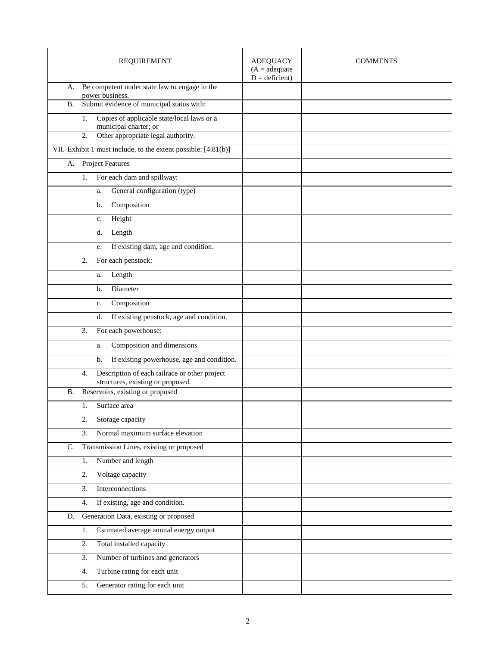| <b>REQUIREMENT</b>                                                        | <b>ADEQUACY</b><br>$(A = adequate)$<br>$D =$ deficient) | <b>COMMENTS</b> |
|---------------------------------------------------------------------------|---------------------------------------------------------|-----------------|
| Be competent under state law to engage in the<br>А.                       |                                                         |                 |
| power business.<br>Submit evidence of municipal status with:<br><b>B.</b> |                                                         |                 |
| Copies of applicable state/local laws or a<br>1.                          |                                                         |                 |
| municipal charter; or                                                     |                                                         |                 |
| Other appropriate legal authority.<br>2.                                  |                                                         |                 |
| VII. Exhibit 1 must include, to the extent possible: $[4.81(b)]$          |                                                         |                 |
| <b>Project Features</b><br>А.                                             |                                                         |                 |
| For each dam and spillway:<br>1.                                          |                                                         |                 |
| General configuration (type)<br>a.                                        |                                                         |                 |
| Composition<br>b.                                                         |                                                         |                 |
| Height<br>c.                                                              |                                                         |                 |
| Length<br>d.                                                              |                                                         |                 |
| If existing dam, age and condition.<br>e.                                 |                                                         |                 |
| For each penstock:<br>2.                                                  |                                                         |                 |
| Length<br>a.                                                              |                                                         |                 |
| Diameter<br>b.                                                            |                                                         |                 |
| Composition<br>c.                                                         |                                                         |                 |
| If existing penstock, age and condition.<br>d.                            |                                                         |                 |
| For each powerhouse:<br>3.                                                |                                                         |                 |
| Composition and dimensions<br>a.                                          |                                                         |                 |
| If existing powerhouse, age and condition.<br>b.                          |                                                         |                 |
| Description of each tailrace or other project<br>4.                       |                                                         |                 |
| structures, existing or proposed.                                         |                                                         |                 |
| Reservoirs, existing or proposed<br>В.                                    |                                                         |                 |
| Surface area<br>1.                                                        |                                                         |                 |
| Storage capacity<br>2.                                                    |                                                         |                 |
| Normal maximum surface elevation<br>3.                                    |                                                         |                 |
| Transmission Lines, existing or proposed<br>$C_{\cdot}$                   |                                                         |                 |
| Number and length<br>1.                                                   |                                                         |                 |
| Voltage capacity<br>2.                                                    |                                                         |                 |
| 3.<br>Interconnections                                                    |                                                         |                 |
| If existing, age and condition.<br>4.                                     |                                                         |                 |
| Generation Data, existing or proposed<br>D.                               |                                                         |                 |
| Estimated average annual energy output<br>1.                              |                                                         |                 |
| Total installed capacity<br>2.                                            |                                                         |                 |
| 3.<br>Number of turbines and generators                                   |                                                         |                 |
| Turbine rating for each unit<br>4.                                        |                                                         |                 |
| Generator rating for each unit<br>5.                                      |                                                         |                 |